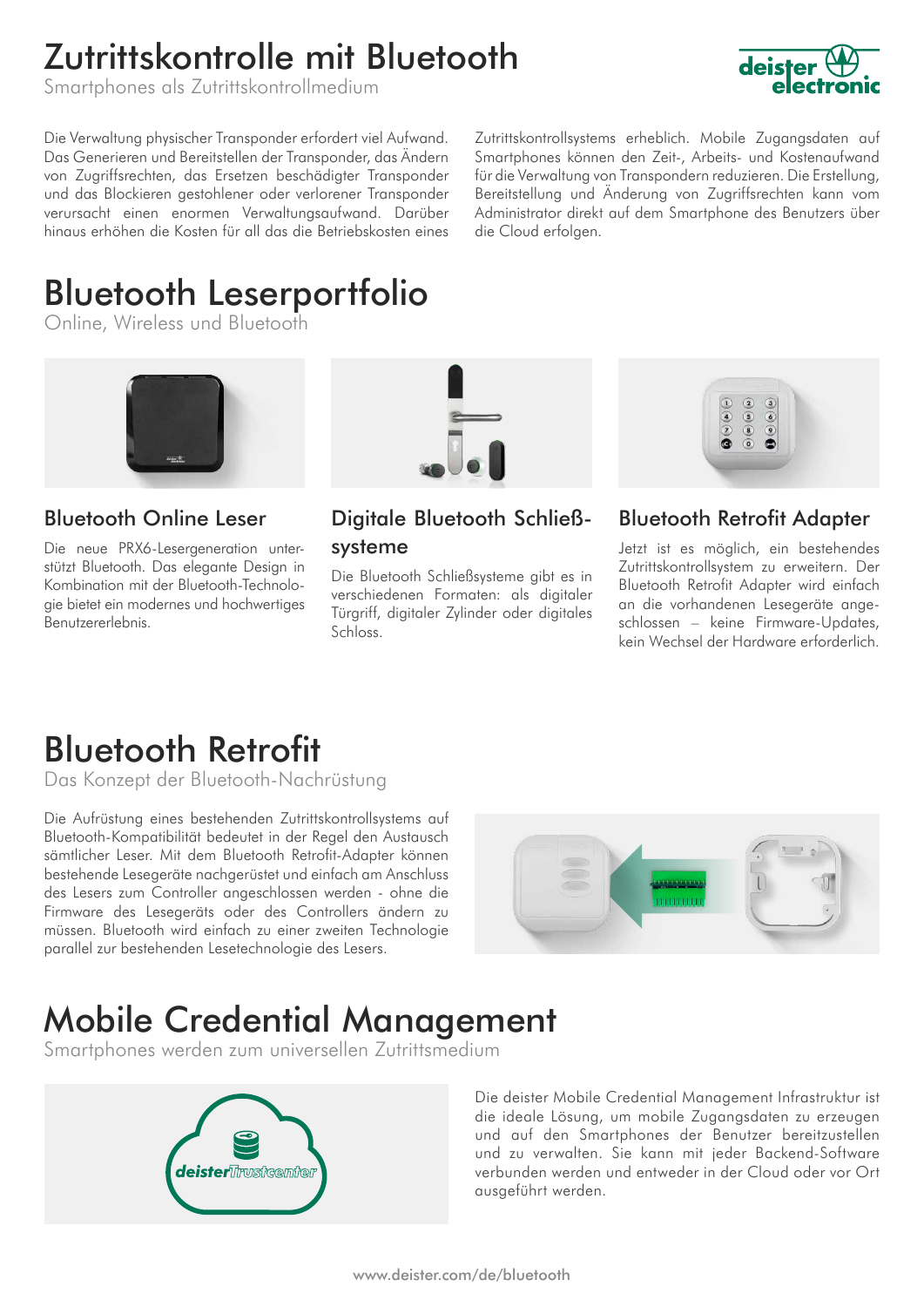## Zutrittskontrolle mit Bluetooth

Smartphones als Zutrittskontrollmedium



Die Verwaltung physischer Transponder erfordert viel Aufwand. Das Generieren und Bereitstellen der Transponder, das Ändern von Zugriffsrechten, das Ersetzen beschädigter Transponder und das Blockieren gestohlener oder verlorener Transponder verursacht einen enormen Verwaltungsaufwand. Darüber hinaus erhöhen die Kosten für all das die Betriebskosten eines Zutrittskontrollsystems erheblich. Mobile Zugangsdaten auf Smartphones können den Zeit-, Arbeits- und Kostenaufwand für die Verwaltung von Transpondern reduzieren. Die Erstellung, Bereitstellung und Änderung von Zugriffsrechten kann vom Administrator direkt auf dem Smartphone des Benutzers über die Cloud erfolgen.

# Bluetooth Leserportfolio

Online, Wireless und Bluetooth



Bluetooth Online Leser

Die neue PRX6-Lesergeneration unterstützt Bluetooth. Das elegante Design in Kombination mit der Bluetooth-Technologie bietet ein modernes und hochwertiges Benutzererlebnis.



Digitale Bluetooth Schließsysteme

Die Bluetooth Schließsysteme gibt es in verschiedenen Formaten: als digitaler Türgriff, digitaler Zylinder oder digitales Schloss.



Bluetooth Retrofit Adapter

Jetzt ist es möglich, ein bestehendes Zutrittskontrollsystem zu erweitern. Der Bluetooth Retrofit Adapter wird einfach an die vorhandenen Lesegeräte angeschlossen – keine Firmware-Updates, kein Wechsel der Hardware erforderlich.

### Bluetooth Retrofit

Das Konzept der Bluetooth-Nachrüstung

Die Aufrüstung eines bestehenden Zutrittskontrollsystems auf Bluetooth-Kompatibilität bedeutet in der Regel den Austausch sämtlicher Leser. Mit dem Bluetooth Retrofit-Adapter können bestehende Lesegeräte nachgerüstet und einfach am Anschluss des Lesers zum Controller angeschlossen werden - ohne die Firmware des Lesegeräts oder des Controllers ändern zu müssen. Bluetooth wird einfach zu einer zweiten Technologie parallel zur bestehenden Lesetechnologie des Lesers.



### Mobile Credential Management

Smartphones werden zum universellen Zutrittsmedium



Die deister Mobile Credential Management Infrastruktur ist die ideale Lösung, um mobile Zugangsdaten zu erzeugen und auf den Smartphones der Benutzer bereitzustellen und zu verwalten. Sie kann mit jeder Backend-Software verbunden werden und entweder in der Cloud oder vor Ort ausgeführt werden.